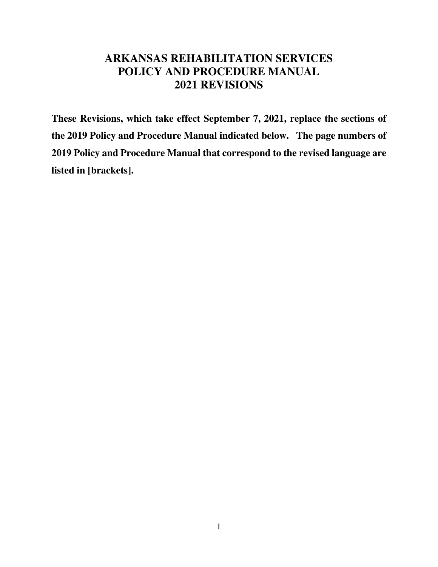# **ARKANSAS REHABILITATION SERVICES POLICY AND PROCEDURE MANUAL 2021 REVISIONS**

**These Revisions, which take effect September 7, 2021, replace the sections of the 2019 Policy and Procedure Manual indicated below. The page numbers of 2019 Policy and Procedure Manual that correspond to the revised language are listed in [brackets].**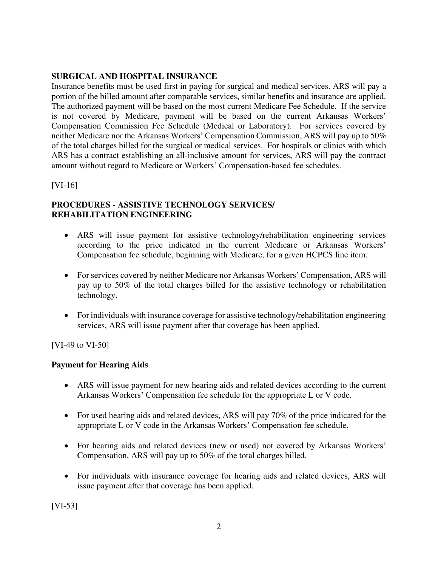# **SURGICAL AND HOSPITAL INSURANCE**

Insurance benefits must be used first in paying for surgical and medical services. ARS will pay a portion of the billed amount after comparable services, similar benefits and insurance are applied. The authorized payment will be based on the most current Medicare Fee Schedule. If the service is not covered by Medicare, payment will be based on the current Arkansas Workers' Compensation Commission Fee Schedule (Medical or Laboratory). For services covered by neither Medicare nor the Arkansas Workers' Compensation Commission, ARS will pay up to 50% of the total charges billed for the surgical or medical services. For hospitals or clinics with which ARS has a contract establishing an all-inclusive amount for services, ARS will pay the contract amount without regard to Medicare or Workers' Compensation-based fee schedules.

[VI-16]

# **PROCEDURES - ASSISTIVE TECHNOLOGY SERVICES/ REHABILITATION ENGINEERING**

- ARS will issue payment for assistive technology/rehabilitation engineering services according to the price indicated in the current Medicare or Arkansas Workers' Compensation fee schedule, beginning with Medicare, for a given HCPCS line item.
- For services covered by neither Medicare nor Arkansas Workers' Compensation, ARS will pay up to 50% of the total charges billed for the assistive technology or rehabilitation technology.
- For individuals with insurance coverage for assistive technology/rehabilitation engineering services, ARS will issue payment after that coverage has been applied.

[VI-49 to VI-50]

# **Payment for Hearing Aids**

- ARS will issue payment for new hearing aids and related devices according to the current Arkansas Workers' Compensation fee schedule for the appropriate L or V code.
- For used hearing aids and related devices, ARS will pay 70% of the price indicated for the appropriate L or V code in the Arkansas Workers' Compensation fee schedule.
- For hearing aids and related devices (new or used) not covered by Arkansas Workers' Compensation, ARS will pay up to 50% of the total charges billed.
- For individuals with insurance coverage for hearing aids and related devices, ARS will issue payment after that coverage has been applied.

[VI-53]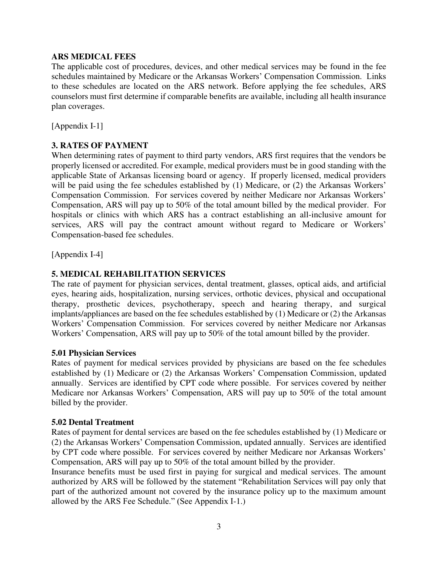# **ARS MEDICAL FEES**

The applicable cost of procedures, devices, and other medical services may be found in the fee schedules maintained by Medicare or the Arkansas Workers' Compensation Commission. Links to these schedules are located on the ARS network. Before applying the fee schedules, ARS counselors must first determine if comparable benefits are available, including all health insurance plan coverages.

[Appendix I-1]

# **3. RATES OF PAYMENT**

When determining rates of payment to third party vendors, ARS first requires that the vendors be properly licensed or accredited. For example, medical providers must be in good standing with the applicable State of Arkansas licensing board or agency. If properly licensed, medical providers will be paid using the fee schedules established by (1) Medicare, or (2) the Arkansas Workers' Compensation Commission. For services covered by neither Medicare nor Arkansas Workers' Compensation, ARS will pay up to 50% of the total amount billed by the medical provider. For hospitals or clinics with which ARS has a contract establishing an all-inclusive amount for services, ARS will pay the contract amount without regard to Medicare or Workers' Compensation-based fee schedules.

[Appendix I-4]

# **5. MEDICAL REHABILITATION SERVICES**

The rate of payment for physician services, dental treatment, glasses, optical aids, and artificial eyes, hearing aids, hospitalization, nursing services, orthotic devices, physical and occupational therapy, prosthetic devices, psychotherapy, speech and hearing therapy, and surgical implants/appliances are based on the fee schedules established by (1) Medicare or (2) the Arkansas Workers' Compensation Commission. For services covered by neither Medicare nor Arkansas Workers' Compensation, ARS will pay up to 50% of the total amount billed by the provider.

#### **5.01 Physician Services**

Rates of payment for medical services provided by physicians are based on the fee schedules established by (1) Medicare or (2) the Arkansas Workers' Compensation Commission, updated annually. Services are identified by CPT code where possible. For services covered by neither Medicare nor Arkansas Workers' Compensation, ARS will pay up to 50% of the total amount billed by the provider.

#### **5.02 Dental Treatment**

Rates of payment for dental services are based on the fee schedules established by (1) Medicare or (2) the Arkansas Workers' Compensation Commission, updated annually. Services are identified by CPT code where possible. For services covered by neither Medicare nor Arkansas Workers' Compensation, ARS will pay up to 50% of the total amount billed by the provider.

Insurance benefits must be used first in paying for surgical and medical services. The amount authorized by ARS will be followed by the statement "Rehabilitation Services will pay only that part of the authorized amount not covered by the insurance policy up to the maximum amount allowed by the ARS Fee Schedule." (See Appendix I-1.)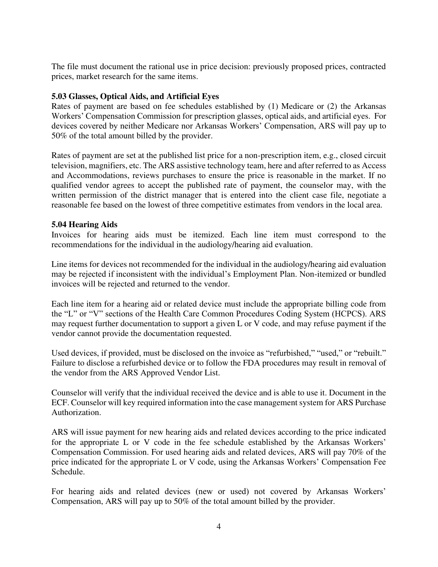The file must document the rational use in price decision: previously proposed prices, contracted prices, market research for the same items.

# **5.03 Glasses, Optical Aids, and Artificial Eyes**

Rates of payment are based on fee schedules established by (1) Medicare or (2) the Arkansas Workers' Compensation Commission for prescription glasses, optical aids, and artificial eyes. For devices covered by neither Medicare nor Arkansas Workers' Compensation, ARS will pay up to 50% of the total amount billed by the provider.

Rates of payment are set at the published list price for a non-prescription item, e.g., closed circuit television, magnifiers, etc. The ARS assistive technology team, here and after referred to as Access and Accommodations, reviews purchases to ensure the price is reasonable in the market. If no qualified vendor agrees to accept the published rate of payment, the counselor may, with the written permission of the district manager that is entered into the client case file, negotiate a reasonable fee based on the lowest of three competitive estimates from vendors in the local area.

# **5.04 Hearing Aids**

Invoices for hearing aids must be itemized. Each line item must correspond to the recommendations for the individual in the audiology/hearing aid evaluation.

Line items for devices not recommended for the individual in the audiology/hearing aid evaluation may be rejected if inconsistent with the individual's Employment Plan. Non-itemized or bundled invoices will be rejected and returned to the vendor.

Each line item for a hearing aid or related device must include the appropriate billing code from the "L" or "V" sections of the Health Care Common Procedures Coding System (HCPCS). ARS may request further documentation to support a given L or V code, and may refuse payment if the vendor cannot provide the documentation requested.

Used devices, if provided, must be disclosed on the invoice as "refurbished," "used," or "rebuilt." Failure to disclose a refurbished device or to follow the FDA procedures may result in removal of the vendor from the ARS Approved Vendor List.

Counselor will verify that the individual received the device and is able to use it. Document in the ECF. Counselor will key required information into the case management system for ARS Purchase Authorization.

ARS will issue payment for new hearing aids and related devices according to the price indicated for the appropriate L or V code in the fee schedule established by the Arkansas Workers' Compensation Commission. For used hearing aids and related devices, ARS will pay 70% of the price indicated for the appropriate L or V code, using the Arkansas Workers' Compensation Fee Schedule.

For hearing aids and related devices (new or used) not covered by Arkansas Workers' Compensation, ARS will pay up to 50% of the total amount billed by the provider.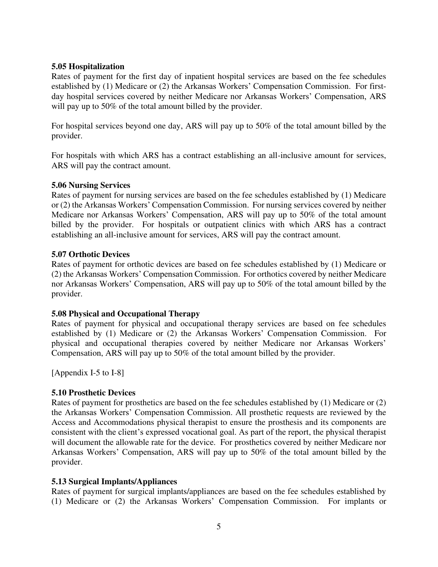# **5.05 Hospitalization**

Rates of payment for the first day of inpatient hospital services are based on the fee schedules established by (1) Medicare or (2) the Arkansas Workers' Compensation Commission. For firstday hospital services covered by neither Medicare nor Arkansas Workers' Compensation, ARS will pay up to 50% of the total amount billed by the provider.

For hospital services beyond one day, ARS will pay up to 50% of the total amount billed by the provider.

For hospitals with which ARS has a contract establishing an all-inclusive amount for services, ARS will pay the contract amount.

# **5.06 Nursing Services**

Rates of payment for nursing services are based on the fee schedules established by (1) Medicare or (2) the Arkansas Workers' Compensation Commission. For nursing services covered by neither Medicare nor Arkansas Workers' Compensation, ARS will pay up to 50% of the total amount billed by the provider. For hospitals or outpatient clinics with which ARS has a contract establishing an all-inclusive amount for services, ARS will pay the contract amount.

#### **5.07 Orthotic Devices**

Rates of payment for orthotic devices are based on fee schedules established by (1) Medicare or (2) the Arkansas Workers' Compensation Commission. For orthotics covered by neither Medicare nor Arkansas Workers' Compensation, ARS will pay up to 50% of the total amount billed by the provider.

# **5.08 Physical and Occupational Therapy**

Rates of payment for physical and occupational therapy services are based on fee schedules established by (1) Medicare or (2) the Arkansas Workers' Compensation Commission. For physical and occupational therapies covered by neither Medicare nor Arkansas Workers' Compensation, ARS will pay up to 50% of the total amount billed by the provider.

[Appendix I-5 to I-8]

# **5.10 Prosthetic Devices**

Rates of payment for prosthetics are based on the fee schedules established by (1) Medicare or (2) the Arkansas Workers' Compensation Commission. All prosthetic requests are reviewed by the Access and Accommodations physical therapist to ensure the prosthesis and its components are consistent with the client's expressed vocational goal. As part of the report, the physical therapist will document the allowable rate for the device. For prosthetics covered by neither Medicare nor Arkansas Workers' Compensation, ARS will pay up to 50% of the total amount billed by the provider.

# **5.13 Surgical Implants/Appliances**

Rates of payment for surgical implants/appliances are based on the fee schedules established by (1) Medicare or (2) the Arkansas Workers' Compensation Commission. For implants or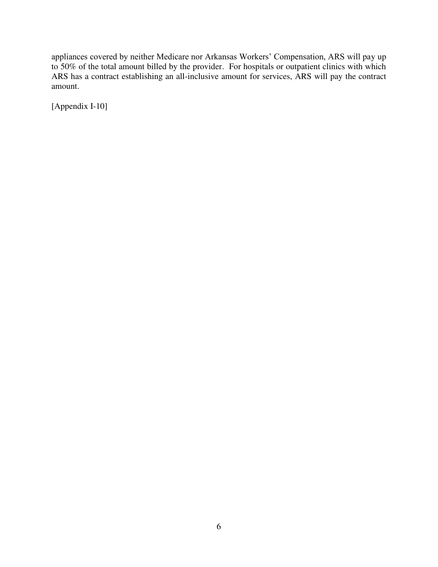appliances covered by neither Medicare nor Arkansas Workers' Compensation, ARS will pay up to 50% of the total amount billed by the provider. For hospitals or outpatient clinics with which ARS has a contract establishing an all-inclusive amount for services, ARS will pay the contract amount.

[Appendix I-10]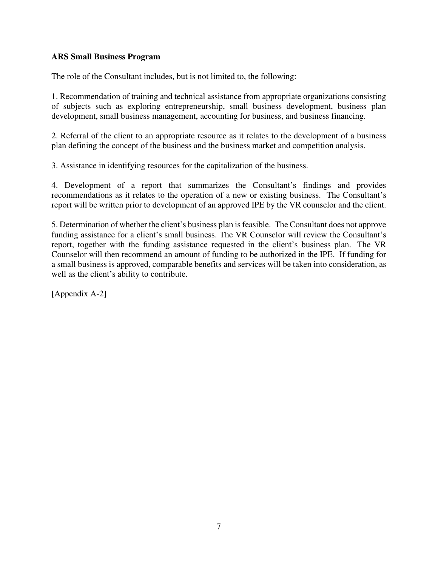# **ARS Small Business Program**

The role of the Consultant includes, but is not limited to, the following:

1. Recommendation of training and technical assistance from appropriate organizations consisting of subjects such as exploring entrepreneurship, small business development, business plan development, small business management, accounting for business, and business financing.

2. Referral of the client to an appropriate resource as it relates to the development of a business plan defining the concept of the business and the business market and competition analysis.

3. Assistance in identifying resources for the capitalization of the business.

4. Development of a report that summarizes the Consultant's findings and provides recommendations as it relates to the operation of a new or existing business. The Consultant's report will be written prior to development of an approved IPE by the VR counselor and the client.

5. Determination of whether the client's business plan is feasible. The Consultant does not approve funding assistance for a client's small business. The VR Counselor will review the Consultant's report, together with the funding assistance requested in the client's business plan. The VR Counselor will then recommend an amount of funding to be authorized in the IPE. If funding for a small business is approved, comparable benefits and services will be taken into consideration, as well as the client's ability to contribute.

[Appendix A-2]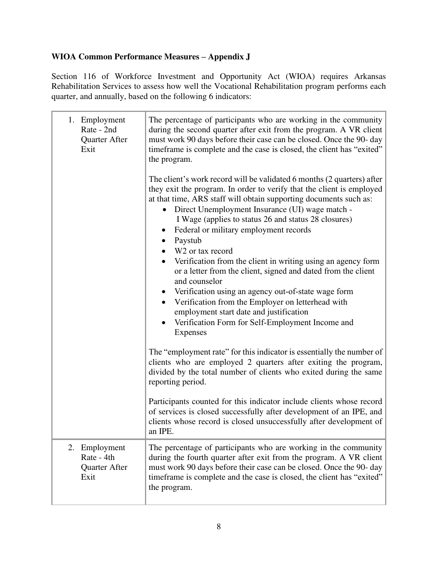# **WIOA Common Performance Measures – Appendix J**

Section 116 of Workforce Investment and Opportunity Act (WIOA) requires Arkansas Rehabilitation Services to assess how well the Vocational Rehabilitation program performs each quarter, and annually, based on the following 6 indicators:

| 1. Employment<br>Rate - 2nd<br>Quarter After<br>Exit | The percentage of participants who are working in the community<br>during the second quarter after exit from the program. A VR client<br>must work 90 days before their case can be closed. Once the 90-day<br>timeframe is complete and the case is closed, the client has "exited"<br>the program.<br>The client's work record will be validated 6 months (2 quarters) after<br>they exit the program. In order to verify that the client is employed<br>at that time, ARS staff will obtain supporting documents such as:<br>Direct Unemployment Insurance (UI) wage match -<br>I Wage (applies to status 26 and status 28 closures)<br>Federal or military employment records<br>$\bullet$<br>Paystub<br>$\bullet$<br>W <sub>2</sub> or tax record<br>Verification from the client in writing using an agency form<br>or a letter from the client, signed and dated from the client<br>and counselor |  |
|------------------------------------------------------|----------------------------------------------------------------------------------------------------------------------------------------------------------------------------------------------------------------------------------------------------------------------------------------------------------------------------------------------------------------------------------------------------------------------------------------------------------------------------------------------------------------------------------------------------------------------------------------------------------------------------------------------------------------------------------------------------------------------------------------------------------------------------------------------------------------------------------------------------------------------------------------------------------|--|
|                                                      | Verification using an agency out-of-state wage form<br>$\bullet$<br>Verification from the Employer on letterhead with<br>$\bullet$<br>employment start date and justification<br>Verification Form for Self-Employment Income and<br>$\bullet$<br>Expenses                                                                                                                                                                                                                                                                                                                                                                                                                                                                                                                                                                                                                                               |  |
|                                                      | The "employment rate" for this indicator is essentially the number of<br>clients who are employed 2 quarters after exiting the program,<br>divided by the total number of clients who exited during the same<br>reporting period.                                                                                                                                                                                                                                                                                                                                                                                                                                                                                                                                                                                                                                                                        |  |
|                                                      | Participants counted for this indicator include clients whose record<br>of services is closed successfully after development of an IPE, and<br>clients whose record is closed unsuccessfully after development of<br>an IPE.                                                                                                                                                                                                                                                                                                                                                                                                                                                                                                                                                                                                                                                                             |  |
| 2. Employment<br>Rate - 4th<br>Quarter After<br>Exit | The percentage of participants who are working in the community<br>during the fourth quarter after exit from the program. A VR client<br>must work 90 days before their case can be closed. Once the 90-day<br>timeframe is complete and the case is closed, the client has "exited"<br>the program.                                                                                                                                                                                                                                                                                                                                                                                                                                                                                                                                                                                                     |  |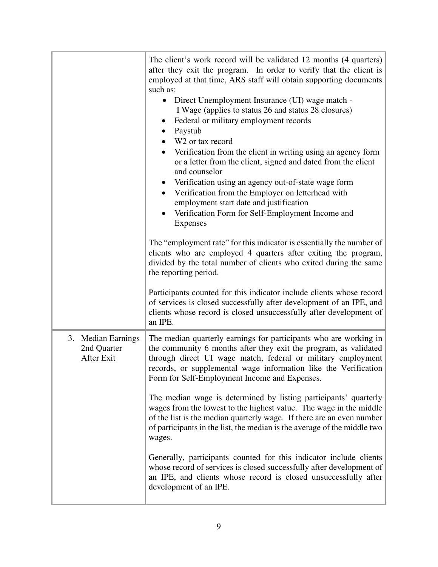|                                                 | The client's work record will be validated 12 months (4 quarters)<br>after they exit the program. In order to verify that the client is<br>employed at that time, ARS staff will obtain supporting documents<br>such as:<br>Direct Unemployment Insurance (UI) wage match -<br>$\bullet$<br>I Wage (applies to status 26 and status 28 closures)<br>Federal or military employment records<br>Paystub<br>W <sub>2</sub> or tax record<br>Verification from the client in writing using an agency form<br>or a letter from the client, signed and dated from the client<br>and counselor<br>Verification using an agency out-of-state wage form<br>Verification from the Employer on letterhead with<br>$\bullet$<br>employment start date and justification<br>Verification Form for Self-Employment Income and<br>$\bullet$<br>Expenses |
|-------------------------------------------------|------------------------------------------------------------------------------------------------------------------------------------------------------------------------------------------------------------------------------------------------------------------------------------------------------------------------------------------------------------------------------------------------------------------------------------------------------------------------------------------------------------------------------------------------------------------------------------------------------------------------------------------------------------------------------------------------------------------------------------------------------------------------------------------------------------------------------------------|
|                                                 | The "employment rate" for this indicator is essentially the number of<br>clients who are employed 4 quarters after exiting the program,<br>divided by the total number of clients who exited during the same<br>the reporting period.<br>Participants counted for this indicator include clients whose record<br>of services is closed successfully after development of an IPE, and                                                                                                                                                                                                                                                                                                                                                                                                                                                     |
|                                                 | clients whose record is closed unsuccessfully after development of<br>an IPE.                                                                                                                                                                                                                                                                                                                                                                                                                                                                                                                                                                                                                                                                                                                                                            |
| 3. Median Earnings<br>2nd Quarter<br>After Exit | The median quarterly earnings for participants who are working in<br>the community 6 months after they exit the program, as validated<br>through direct UI wage match, federal or military employment<br>records, or supplemental wage information like the Verification<br>Form for Self-Employment Income and Expenses.                                                                                                                                                                                                                                                                                                                                                                                                                                                                                                                |
|                                                 | The median wage is determined by listing participants' quarterly<br>wages from the lowest to the highest value. The wage in the middle<br>of the list is the median quarterly wage. If there are an even number<br>of participants in the list, the median is the average of the middle two<br>wages.                                                                                                                                                                                                                                                                                                                                                                                                                                                                                                                                    |
|                                                 | Generally, participants counted for this indicator include clients<br>whose record of services is closed successfully after development of<br>an IPE, and clients whose record is closed unsuccessfully after<br>development of an IPE.                                                                                                                                                                                                                                                                                                                                                                                                                                                                                                                                                                                                  |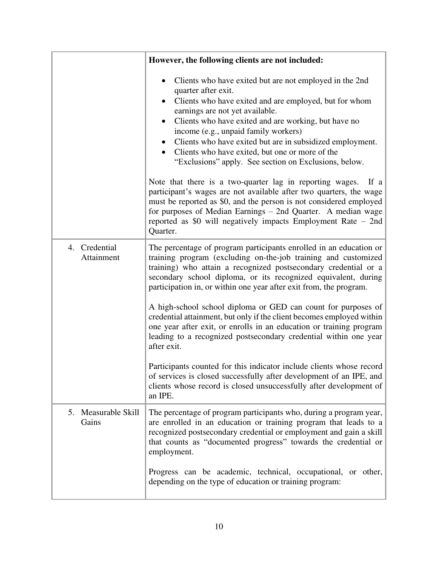|                              | However, the following clients are not included:                                                                                                                                                                                                                                                                                                                                                                                                                                                                                                                                                                                                                                                                                                                                                                                                                         |
|------------------------------|--------------------------------------------------------------------------------------------------------------------------------------------------------------------------------------------------------------------------------------------------------------------------------------------------------------------------------------------------------------------------------------------------------------------------------------------------------------------------------------------------------------------------------------------------------------------------------------------------------------------------------------------------------------------------------------------------------------------------------------------------------------------------------------------------------------------------------------------------------------------------|
|                              | Clients who have exited but are not employed in the 2nd<br>quarter after exit.<br>Clients who have exited and are employed, but for whom<br>earnings are not yet available.<br>Clients who have exited and are working, but have no<br>income (e.g., unpaid family workers)<br>Clients who have exited but are in subsidized employment.<br>Clients who have exited, but one or more of the<br>"Exclusions" apply. See section on Exclusions, below.<br>Note that there is a two-quarter lag in reporting wages.<br>If a<br>participant's wages are not available after two quarters, the wage<br>must be reported as \$0, and the person is not considered employed<br>for purposes of Median Earnings – 2nd Quarter. A median wage<br>reported as \$0 will negatively impacts Employment Rate - 2nd<br>Quarter.                                                        |
| 4. Credential<br>Attainment  | The percentage of program participants enrolled in an education or<br>training program (excluding on-the-job training and customized<br>training) who attain a recognized postsecondary credential or a<br>secondary school diploma, or its recognized equivalent, during<br>participation in, or within one year after exit from, the program.<br>A high-school school diploma or GED can count for purposes of<br>credential attainment, but only if the client becomes employed within<br>one year after exit, or enrolls in an education or training program<br>leading to a recognized postsecondary credential within one year<br>after exit.<br>Participants counted for this indicator include clients whose record<br>of services is closed successfully after development of an IPE, and<br>clients whose record is closed unsuccessfully after development of |
| 5. Measurable Skill<br>Gains | an IPE.<br>The percentage of program participants who, during a program year,<br>are enrolled in an education or training program that leads to a<br>recognized postsecondary credential or employment and gain a skill<br>that counts as "documented progress" towards the credential or<br>employment.<br>Progress can be academic, technical, occupational, or other,<br>depending on the type of education or training program:                                                                                                                                                                                                                                                                                                                                                                                                                                      |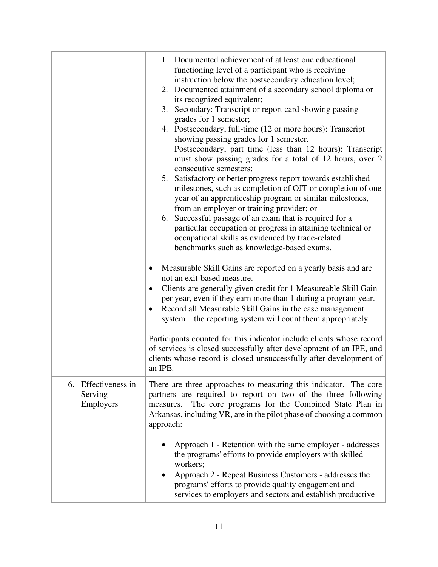|                                             | 1. Documented achievement of at least one educational<br>functioning level of a participant who is receiving<br>instruction below the postsecondary education level;<br>2. Documented attainment of a secondary school diploma or<br>its recognized equivalent;<br>3. Secondary: Transcript or report card showing passing<br>grades for 1 semester;<br>4. Postsecondary, full-time (12 or more hours): Transcript<br>showing passing grades for 1 semester.<br>Postsecondary, part time (less than 12 hours): Transcript<br>must show passing grades for a total of 12 hours, over 2<br>consecutive semesters;<br>5. Satisfactory or better progress report towards established<br>milestones, such as completion of OJT or completion of one<br>year of an apprenticeship program or similar milestones,<br>from an employer or training provider; or<br>6. Successful passage of an exam that is required for a<br>particular occupation or progress in attaining technical or<br>occupational skills as evidenced by trade-related<br>benchmarks such as knowledge-based exams.<br>Measurable Skill Gains are reported on a yearly basis and are<br>$\bullet$<br>not an exit-based measure.<br>Clients are generally given credit for 1 Measureable Skill Gain<br>٠<br>per year, even if they earn more than 1 during a program year.<br>Record all Measurable Skill Gains in the case management<br>system—the reporting system will count them appropriately.<br>Participants counted for this indicator include clients whose record<br>of services is closed successfully after development of an IPE, and<br>clients whose record is closed unsuccessfully after development of<br>an IPE. |
|---------------------------------------------|-----------------------------------------------------------------------------------------------------------------------------------------------------------------------------------------------------------------------------------------------------------------------------------------------------------------------------------------------------------------------------------------------------------------------------------------------------------------------------------------------------------------------------------------------------------------------------------------------------------------------------------------------------------------------------------------------------------------------------------------------------------------------------------------------------------------------------------------------------------------------------------------------------------------------------------------------------------------------------------------------------------------------------------------------------------------------------------------------------------------------------------------------------------------------------------------------------------------------------------------------------------------------------------------------------------------------------------------------------------------------------------------------------------------------------------------------------------------------------------------------------------------------------------------------------------------------------------------------------------------------------------------------------------------------------------------------------|
| 6. Effectiveness in<br>Serving<br>Employers | There are three approaches to measuring this indicator. The core<br>partners are required to report on two of the three following<br>measures. The core programs for the Combined State Plan in<br>Arkansas, including VR, are in the pilot phase of choosing a common<br>approach:<br>Approach 1 - Retention with the same employer - addresses<br>the programs' efforts to provide employers with skilled<br>workers;<br>Approach 2 - Repeat Business Customers - addresses the<br>programs' efforts to provide quality engagement and<br>services to employers and sectors and establish productive                                                                                                                                                                                                                                                                                                                                                                                                                                                                                                                                                                                                                                                                                                                                                                                                                                                                                                                                                                                                                                                                                              |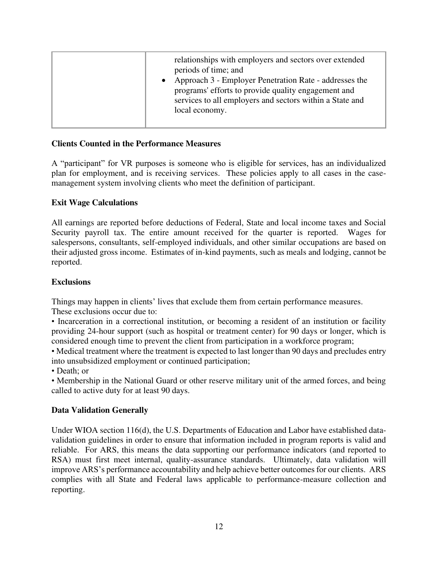|  | relationships with employers and sectors over extended<br>periods of time; and<br>Approach 3 - Employer Penetration Rate - addresses the<br>programs' efforts to provide quality engagement and<br>services to all employers and sectors within a State and<br>local economy. |
|--|-------------------------------------------------------------------------------------------------------------------------------------------------------------------------------------------------------------------------------------------------------------------------------|
|--|-------------------------------------------------------------------------------------------------------------------------------------------------------------------------------------------------------------------------------------------------------------------------------|

# **Clients Counted in the Performance Measures**

A "participant" for VR purposes is someone who is eligible for services, has an individualized plan for employment, and is receiving services. These policies apply to all cases in the casemanagement system involving clients who meet the definition of participant.

# **Exit Wage Calculations**

All earnings are reported before deductions of Federal, State and local income taxes and Social Security payroll tax. The entire amount received for the quarter is reported. Wages for salespersons, consultants, self-employed individuals, and other similar occupations are based on their adjusted gross income. Estimates of in-kind payments, such as meals and lodging, cannot be reported.

# **Exclusions**

Things may happen in clients' lives that exclude them from certain performance measures.

These exclusions occur due to:

• Incarceration in a correctional institution, or becoming a resident of an institution or facility providing 24-hour support (such as hospital or treatment center) for 90 days or longer, which is considered enough time to prevent the client from participation in a workforce program;

• Medical treatment where the treatment is expected to last longer than 90 days and precludes entry into unsubsidized employment or continued participation;

• Death; or

• Membership in the National Guard or other reserve military unit of the armed forces, and being called to active duty for at least 90 days.

# **Data Validation Generally**

Under WIOA section 116(d), the U.S. Departments of Education and Labor have established datavalidation guidelines in order to ensure that information included in program reports is valid and reliable. For ARS, this means the data supporting our performance indicators (and reported to RSA) must first meet internal, quality-assurance standards. Ultimately, data validation will improve ARS's performance accountability and help achieve better outcomes for our clients. ARS complies with all State and Federal laws applicable to performance-measure collection and reporting.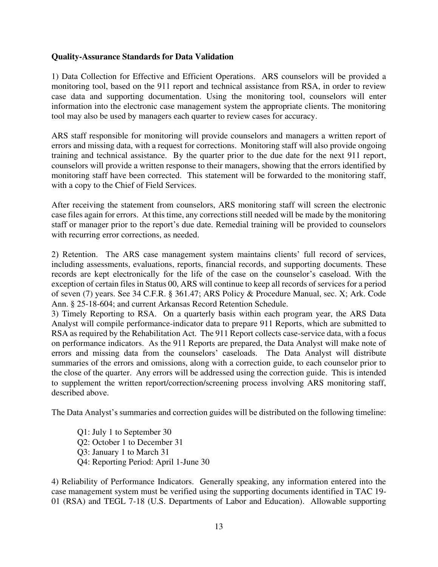## **Quality-Assurance Standards for Data Validation**

1) Data Collection for Effective and Efficient Operations. ARS counselors will be provided a monitoring tool, based on the 911 report and technical assistance from RSA, in order to review case data and supporting documentation. Using the monitoring tool, counselors will enter information into the electronic case management system the appropriate clients. The monitoring tool may also be used by managers each quarter to review cases for accuracy.

ARS staff responsible for monitoring will provide counselors and managers a written report of errors and missing data, with a request for corrections. Monitoring staff will also provide ongoing training and technical assistance. By the quarter prior to the due date for the next 911 report, counselors will provide a written response to their managers, showing that the errors identified by monitoring staff have been corrected. This statement will be forwarded to the monitoring staff, with a copy to the Chief of Field Services.

After receiving the statement from counselors, ARS monitoring staff will screen the electronic case files again for errors. At this time, any corrections still needed will be made by the monitoring staff or manager prior to the report's due date. Remedial training will be provided to counselors with recurring error corrections, as needed.

2) Retention. The ARS case management system maintains clients' full record of services, including assessments, evaluations, reports, financial records, and supporting documents. These records are kept electronically for the life of the case on the counselor's caseload. With the exception of certain files in Status 00, ARS will continue to keep all records of services for a period of seven (7) years. See 34 C.F.R. § 361.47; ARS Policy & Procedure Manual, sec. X; Ark. Code Ann. § 25-18-604; and current Arkansas Record Retention Schedule.

3) Timely Reporting to RSA. On a quarterly basis within each program year, the ARS Data Analyst will compile performance-indicator data to prepare 911 Reports, which are submitted to RSA as required by the Rehabilitation Act. The 911 Report collects case-service data, with a focus on performance indicators. As the 911 Reports are prepared, the Data Analyst will make note of errors and missing data from the counselors' caseloads. The Data Analyst will distribute summaries of the errors and omissions, along with a correction guide, to each counselor prior to the close of the quarter. Any errors will be addressed using the correction guide. This is intended to supplement the written report/correction/screening process involving ARS monitoring staff, described above.

The Data Analyst's summaries and correction guides will be distributed on the following timeline:

Q1: July 1 to September 30 Q2: October 1 to December 31 Q3: January 1 to March 31 Q4: Reporting Period: April 1-June 30

4) Reliability of Performance Indicators. Generally speaking, any information entered into the case management system must be verified using the supporting documents identified in TAC 19- 01 (RSA) and TEGL 7-18 (U.S. Departments of Labor and Education). Allowable supporting